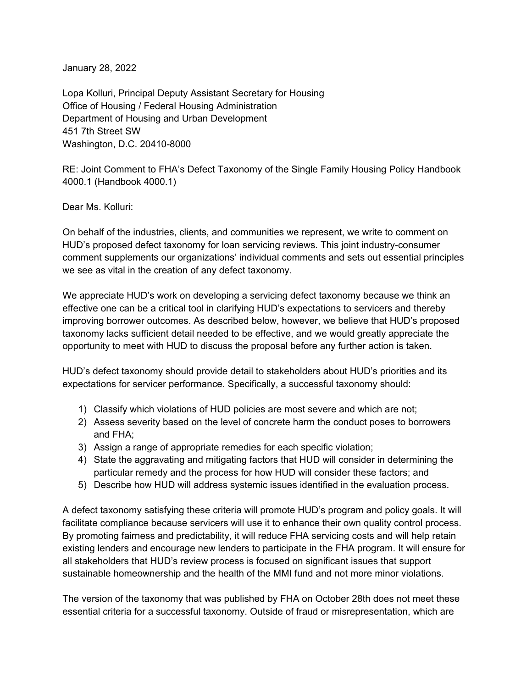January 28, 2022

Lopa Kolluri, Principal Deputy Assistant Secretary for Housing Office of Housing / Federal Housing Administration Department of Housing and Urban Development 451 7th Street SW Washington, D.C. 20410-8000

RE: Joint Comment to FHA's Defect Taxonomy of the Single Family Housing Policy Handbook 4000.1 (Handbook 4000.1)

Dear Ms. Kolluri:

On behalf of the industries, clients, and communities we represent, we write to comment on HUD's proposed defect taxonomy for loan servicing reviews. This joint industry-consumer comment supplements our organizations' individual comments and sets out essential principles we see as vital in the creation of any defect taxonomy.

We appreciate HUD's work on developing a servicing defect taxonomy because we think an effective one can be a critical tool in clarifying HUD's expectations to servicers and thereby improving borrower outcomes. As described below, however, we believe that HUD's proposed taxonomy lacks sufficient detail needed to be effective, and we would greatly appreciate the opportunity to meet with HUD to discuss the proposal before any further action is taken.

HUD's defect taxonomy should provide detail to stakeholders about HUD's priorities and its expectations for servicer performance. Specifically, a successful taxonomy should:

- 1) Classify which violations of HUD policies are most severe and which are not;
- 2) Assess severity based on the level of concrete harm the conduct poses to borrowers and FHA;
- 3) Assign a range of appropriate remedies for each specific violation;
- 4) State the aggravating and mitigating factors that HUD will consider in determining the particular remedy and the process for how HUD will consider these factors; and
- 5) Describe how HUD will address systemic issues identified in the evaluation process.

A defect taxonomy satisfying these criteria will promote HUD's program and policy goals. It will facilitate compliance because servicers will use it to enhance their own quality control process. By promoting fairness and predictability, it will reduce FHA servicing costs and will help retain existing lenders and encourage new lenders to participate in the FHA program. It will ensure for all stakeholders that HUD's review process is focused on significant issues that support sustainable homeownership and the health of the MMI fund and not more minor violations.

The version of the taxonomy that was published by FHA on October 28th does not meet these essential criteria for a successful taxonomy. Outside of fraud or misrepresentation, which are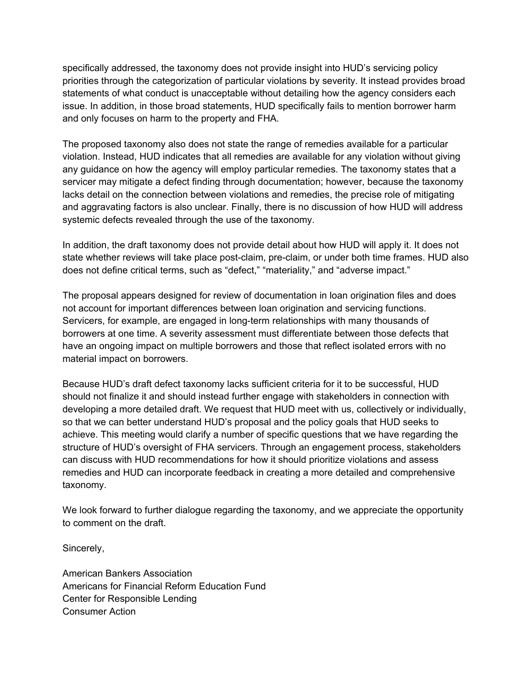specifically addressed, the taxonomy does not provide insight into HUD's servicing policy priorities through the categorization of particular violations by severity. It instead provides broad statements of what conduct is unacceptable without detailing how the agency considers each issue. In addition, in those broad statements, HUD specifically fails to mention borrower harm and only focuses on harm to the property and FHA.

The proposed taxonomy also does not state the range of remedies available for a particular violation. Instead, HUD indicates that all remedies are available for any violation without giving any guidance on how the agency will employ particular remedies. The taxonomy states that a servicer may mitigate a defect finding through documentation; however, because the taxonomy lacks detail on the connection between violations and remedies, the precise role of mitigating and aggravating factors is also unclear. Finally, there is no discussion of how HUD will address systemic defects revealed through the use of the taxonomy.

In addition, the draft taxonomy does not provide detail about how HUD will apply it. It does not state whether reviews will take place post-claim, pre-claim, or under both time frames. HUD also does not define critical terms, such as "defect," "materiality," and "adverse impact."

The proposal appears designed for review of documentation in loan origination files and does not account for important differences between loan origination and servicing functions. Servicers, for example, are engaged in long-term relationships with many thousands of borrowers at one time. A severity assessment must differentiate between those defects that have an ongoing impact on multiple borrowers and those that reflect isolated errors with no material impact on borrowers.

Because HUD's draft defect taxonomy lacks sufficient criteria for it to be successful, HUD should not finalize it and should instead further engage with stakeholders in connection with developing a more detailed draft. We request that HUD meet with us, collectively or individually, so that we can better understand HUD's proposal and the policy goals that HUD seeks to achieve. This meeting would clarify a number of specific questions that we have regarding the structure of HUD's oversight of FHA servicers. Through an engagement process, stakeholders can discuss with HUD recommendations for how it should prioritize violations and assess remedies and HUD can incorporate feedback in creating a more detailed and comprehensive taxonomy.

We look forward to further dialogue regarding the taxonomy, and we appreciate the opportunity to comment on the draft.

Sincerely,

American Bankers Association Americans for Financial Reform Education Fund Center for Responsible Lending Consumer Action